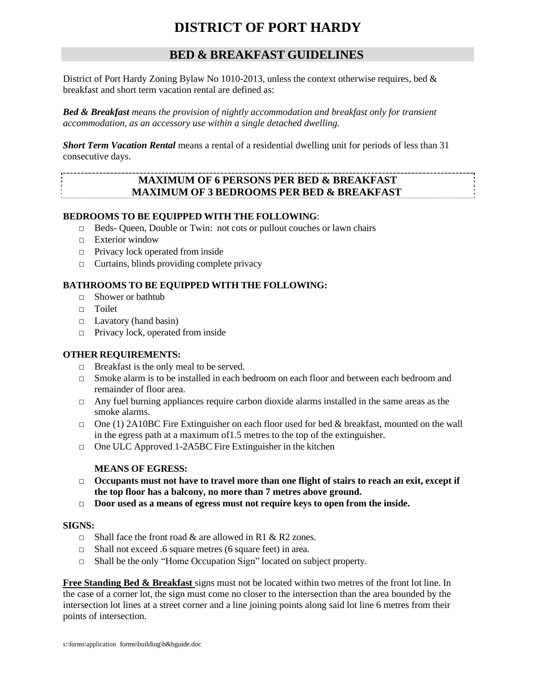# **DISTRICT OF PORT HARDY**

# **BED & BREAKFAST GUIDELINES**

District of Port Hardy Zoning Bylaw No 1010-2013, unless the context otherwise requires, bed  $\&$ breakfast and short term vacation rental are defined as:

*Bed & Breakfast means the provision of nightly accommodation and breakfast only for transient accommodation, as an accessory use within a single detached dwelling.*

*Short Term Vacation Rental* means a rental of a residential dwelling unit for periods of less than 31 consecutive days.

# **MAXIMUM OF 6 PERSONS PER BED & BREAKFAST MAXIMUM OF 3 BEDROOMS PER BED & BREAKFAST**

#### **BEDROOMS TO BE EQUIPPED WITH THE FOLLOWING**:

- □ Beds- Queen, Double or Twin: not cots or pullout couches or lawn chairs
- □ Exterior window
- □ Privacy lock operated from inside
- $\Box$  Curtains, blinds providing complete privacy

#### **BATHROOMS TO BE EQUIPPED WITH THE FOLLOWING:**

- □ Shower or bathtub
- □ Toilet
- □ Lavatory (hand basin)
- □ Privacy lock, operated from inside

## **OTHER REQUIREMENTS:**

- $\Box$  Breakfast is the only meal to be served.
- $\Box$  Smoke alarm is to be installed in each bedroom on each floor and between each bedroom and remainder of floor area.
- $\Box$  Any fuel burning appliances require carbon dioxide alarms installed in the same areas as the smoke alarms.
- $\Box$  One (1) 2A10BC Fire Extinguisher on each floor used for bed & breakfast, mounted on the wall in the egress path at a maximum of1.5 metres to the top of the extinguisher.
- □ One ULC Approved 1-2A5BC Fire Extinguisher in the kitchen

## **MEANS OF EGRESS:**

- □ **Occupants must not have to travel more than one flight of stairs to reach an exit, except if the top floor has a balcony, no more than 7 metres above ground.**
- □ **Door used as a means of egress must not require keys to open from the inside.**

#### **SIGNS:**

- $\Box$  Shall face the front road & are allowed in R1 & R2 zones.
- □ Shall not exceed .6 square metres (6 square feet) in area.
- □ Shall be the only "Home Occupation Sign" located on subject property.

**Free Standing Bed & Breakfast** signs must not be located within two metres of the front lot line. In the case of a corner lot, the sign must come no closer to the intersection than the area bounded by the intersection lot lines at a street corner and a line joining points along said lot line 6 metres from their points of intersection.